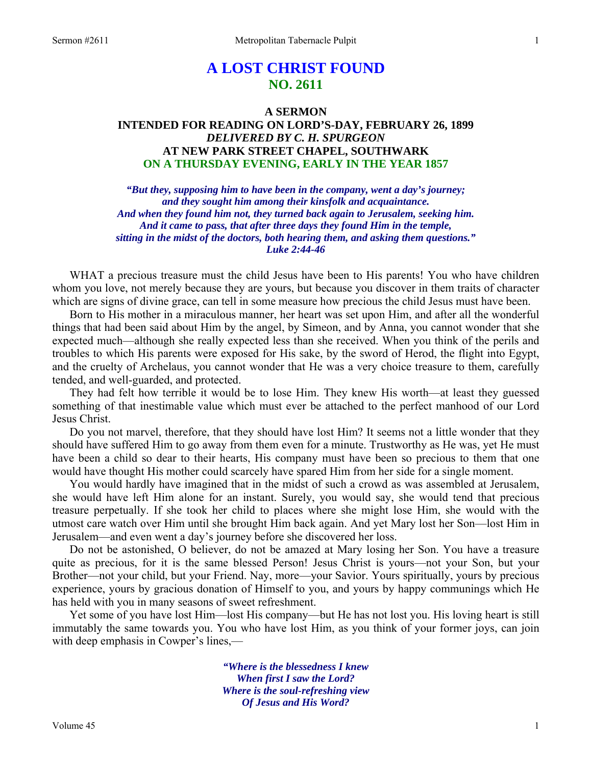# **A LOST CHRIST FOUND NO. 2611**

## **A SERMON INTENDED FOR READING ON LORD'S-DAY, FEBRUARY 26, 1899**  *DELIVERED BY C. H. SPURGEON*  **AT NEW PARK STREET CHAPEL, SOUTHWARK ON A THURSDAY EVENING, EARLY IN THE YEAR 1857**

*"But they, supposing him to have been in the company, went a day's journey; and they sought him among their kinsfolk and acquaintance. And when they found him not, they turned back again to Jerusalem, seeking him. And it came to pass, that after three days they found Him in the temple, sitting in the midst of the doctors, both hearing them, and asking them questions." Luke 2:44-46* 

WHAT a precious treasure must the child Jesus have been to His parents! You who have children whom you love, not merely because they are yours, but because you discover in them traits of character which are signs of divine grace, can tell in some measure how precious the child Jesus must have been.

 Born to His mother in a miraculous manner, her heart was set upon Him, and after all the wonderful things that had been said about Him by the angel, by Simeon, and by Anna, you cannot wonder that she expected much—although she really expected less than she received. When you think of the perils and troubles to which His parents were exposed for His sake, by the sword of Herod, the flight into Egypt, and the cruelty of Archelaus, you cannot wonder that He was a very choice treasure to them, carefully tended, and well-guarded, and protected.

 They had felt how terrible it would be to lose Him. They knew His worth—at least they guessed something of that inestimable value which must ever be attached to the perfect manhood of our Lord Jesus Christ.

 Do you not marvel, therefore, that they should have lost Him? It seems not a little wonder that they should have suffered Him to go away from them even for a minute. Trustworthy as He was, yet He must have been a child so dear to their hearts, His company must have been so precious to them that one would have thought His mother could scarcely have spared Him from her side for a single moment.

 You would hardly have imagined that in the midst of such a crowd as was assembled at Jerusalem, she would have left Him alone for an instant. Surely, you would say, she would tend that precious treasure perpetually. If she took her child to places where she might lose Him, she would with the utmost care watch over Him until she brought Him back again. And yet Mary lost her Son—lost Him in Jerusalem—and even went a day's journey before she discovered her loss.

 Do not be astonished, O believer, do not be amazed at Mary losing her Son. You have a treasure quite as precious, for it is the same blessed Person! Jesus Christ is yours—not your Son, but your Brother—not your child, but your Friend. Nay, more—your Savior. Yours spiritually, yours by precious experience, yours by gracious donation of Himself to you, and yours by happy communings which He has held with you in many seasons of sweet refreshment.

 Yet some of you have lost Him—lost His company—but He has not lost you. His loving heart is still immutably the same towards you. You who have lost Him, as you think of your former joys, can join with deep emphasis in Cowper's lines,—

> *"Where is the blessedness I knew When first I saw the Lord? Where is the soul-refreshing view Of Jesus and His Word?*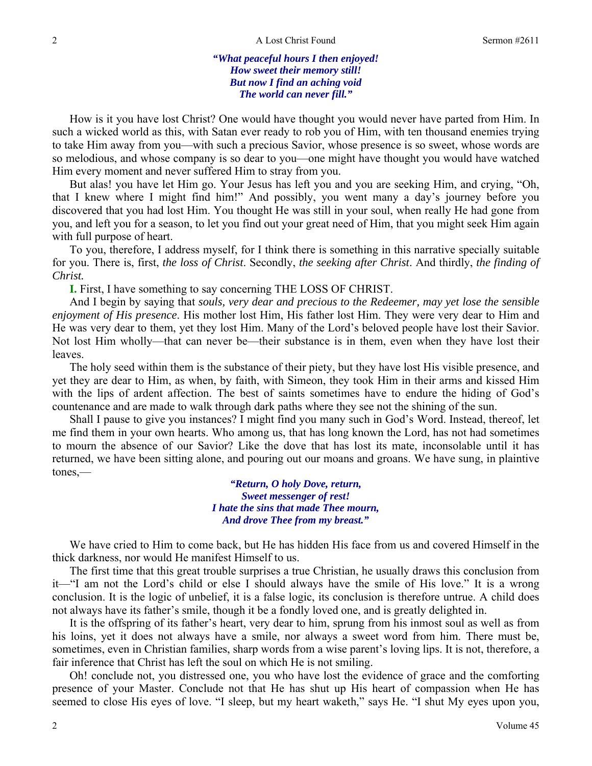*"What peaceful hours I then enjoyed! How sweet their memory still! But now I find an aching void The world can never fill."* 

How is it you have lost Christ? One would have thought you would never have parted from Him. In such a wicked world as this, with Satan ever ready to rob you of Him, with ten thousand enemies trying to take Him away from you—with such a precious Savior, whose presence is so sweet, whose words are so melodious, and whose company is so dear to you—one might have thought you would have watched Him every moment and never suffered Him to stray from you.

 But alas! you have let Him go. Your Jesus has left you and you are seeking Him, and crying, "Oh, that I knew where I might find him!" And possibly, you went many a day's journey before you discovered that you had lost Him. You thought He was still in your soul, when really He had gone from you, and left you for a season, to let you find out your great need of Him, that you might seek Him again with full purpose of heart.

 To you, therefore, I address myself, for I think there is something in this narrative specially suitable for you. There is, first, *the loss of Christ*. Secondly, *the seeking after Christ*. And thirdly, *the finding of Christ.*

**I.** First, I have something to say concerning THE LOSS OF CHRIST.

 And I begin by saying that *souls, very dear and precious to the Redeemer, may yet lose the sensible enjoyment of His presence*. His mother lost Him, His father lost Him. They were very dear to Him and He was very dear to them, yet they lost Him. Many of the Lord's beloved people have lost their Savior. Not lost Him wholly—that can never be—their substance is in them, even when they have lost their leaves.

 The holy seed within them is the substance of their piety, but they have lost His visible presence, and yet they are dear to Him, as when, by faith, with Simeon, they took Him in their arms and kissed Him with the lips of ardent affection. The best of saints sometimes have to endure the hiding of God's countenance and are made to walk through dark paths where they see not the shining of the sun.

 Shall I pause to give you instances? I might find you many such in God's Word. Instead, thereof, let me find them in your own hearts. Who among us, that has long known the Lord, has not had sometimes to mourn the absence of our Savior? Like the dove that has lost its mate, inconsolable until it has returned, we have been sitting alone, and pouring out our moans and groans. We have sung, in plaintive tones,—

> *"Return, O holy Dove, return, Sweet messenger of rest! I hate the sins that made Thee mourn, And drove Thee from my breast."*

 We have cried to Him to come back, but He has hidden His face from us and covered Himself in the thick darkness, nor would He manifest Himself to us.

 The first time that this great trouble surprises a true Christian, he usually draws this conclusion from it—"I am not the Lord's child or else I should always have the smile of His love." It is a wrong conclusion. It is the logic of unbelief, it is a false logic, its conclusion is therefore untrue. A child does not always have its father's smile, though it be a fondly loved one, and is greatly delighted in.

 It is the offspring of its father's heart, very dear to him, sprung from his inmost soul as well as from his loins, yet it does not always have a smile, nor always a sweet word from him. There must be, sometimes, even in Christian families, sharp words from a wise parent's loving lips. It is not, therefore, a fair inference that Christ has left the soul on which He is not smiling.

 Oh! conclude not, you distressed one, you who have lost the evidence of grace and the comforting presence of your Master. Conclude not that He has shut up His heart of compassion when He has seemed to close His eyes of love. "I sleep, but my heart waketh," says He. "I shut My eyes upon you,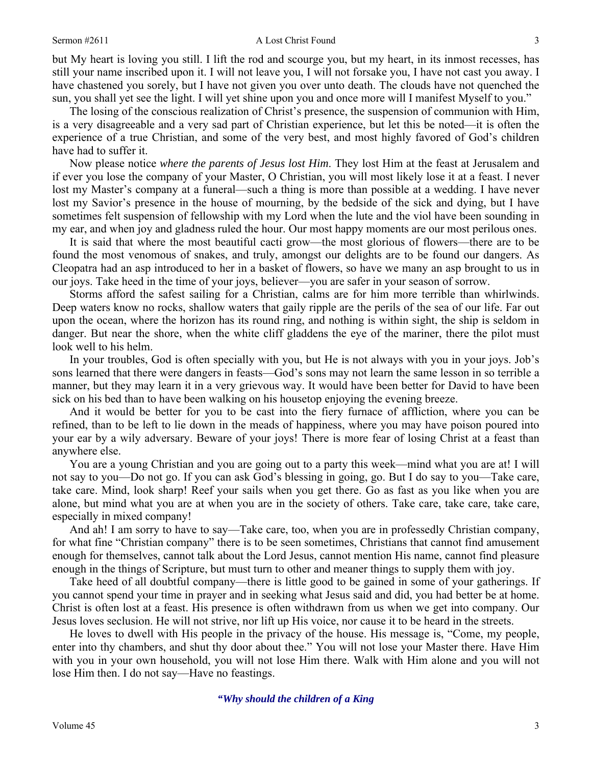#### Sermon #2611 **A** Lost Christ Found 3

but My heart is loving you still. I lift the rod and scourge you, but my heart, in its inmost recesses, has still your name inscribed upon it. I will not leave you, I will not forsake you, I have not cast you away. I have chastened you sorely, but I have not given you over unto death. The clouds have not quenched the sun, you shall yet see the light. I will yet shine upon you and once more will I manifest Myself to you."

 The losing of the conscious realization of Christ's presence, the suspension of communion with Him, is a very disagreeable and a very sad part of Christian experience, but let this be noted—it is often the experience of a true Christian, and some of the very best, and most highly favored of God's children have had to suffer it.

 Now please notice *where the parents of Jesus lost Him*. They lost Him at the feast at Jerusalem and if ever you lose the company of your Master, O Christian, you will most likely lose it at a feast. I never lost my Master's company at a funeral—such a thing is more than possible at a wedding. I have never lost my Savior's presence in the house of mourning, by the bedside of the sick and dying, but I have sometimes felt suspension of fellowship with my Lord when the lute and the viol have been sounding in my ear, and when joy and gladness ruled the hour. Our most happy moments are our most perilous ones.

 It is said that where the most beautiful cacti grow—the most glorious of flowers—there are to be found the most venomous of snakes, and truly, amongst our delights are to be found our dangers. As Cleopatra had an asp introduced to her in a basket of flowers, so have we many an asp brought to us in our joys. Take heed in the time of your joys, believer—you are safer in your season of sorrow.

 Storms afford the safest sailing for a Christian, calms are for him more terrible than whirlwinds. Deep waters know no rocks, shallow waters that gaily ripple are the perils of the sea of our life. Far out upon the ocean, where the horizon has its round ring, and nothing is within sight, the ship is seldom in danger. But near the shore, when the white cliff gladdens the eye of the mariner, there the pilot must look well to his helm.

 In your troubles, God is often specially with you, but He is not always with you in your joys. Job's sons learned that there were dangers in feasts—God's sons may not learn the same lesson in so terrible a manner, but they may learn it in a very grievous way. It would have been better for David to have been sick on his bed than to have been walking on his housetop enjoying the evening breeze.

 And it would be better for you to be cast into the fiery furnace of affliction, where you can be refined, than to be left to lie down in the meads of happiness, where you may have poison poured into your ear by a wily adversary. Beware of your joys! There is more fear of losing Christ at a feast than anywhere else.

 You are a young Christian and you are going out to a party this week—mind what you are at! I will not say to you—Do not go. If you can ask God's blessing in going, go. But I do say to you—Take care, take care. Mind, look sharp! Reef your sails when you get there. Go as fast as you like when you are alone, but mind what you are at when you are in the society of others. Take care, take care, take care, especially in mixed company!

 And ah! I am sorry to have to say—Take care, too, when you are in professedly Christian company, for what fine "Christian company" there is to be seen sometimes, Christians that cannot find amusement enough for themselves, cannot talk about the Lord Jesus, cannot mention His name, cannot find pleasure enough in the things of Scripture, but must turn to other and meaner things to supply them with joy.

 Take heed of all doubtful company—there is little good to be gained in some of your gatherings. If you cannot spend your time in prayer and in seeking what Jesus said and did, you had better be at home. Christ is often lost at a feast. His presence is often withdrawn from us when we get into company. Our Jesus loves seclusion. He will not strive, nor lift up His voice, nor cause it to be heard in the streets.

 He loves to dwell with His people in the privacy of the house. His message is, "Come, my people, enter into thy chambers, and shut thy door about thee." You will not lose your Master there. Have Him with you in your own household, you will not lose Him there. Walk with Him alone and you will not lose Him then. I do not say—Have no feastings.

*"Why should the children of a King*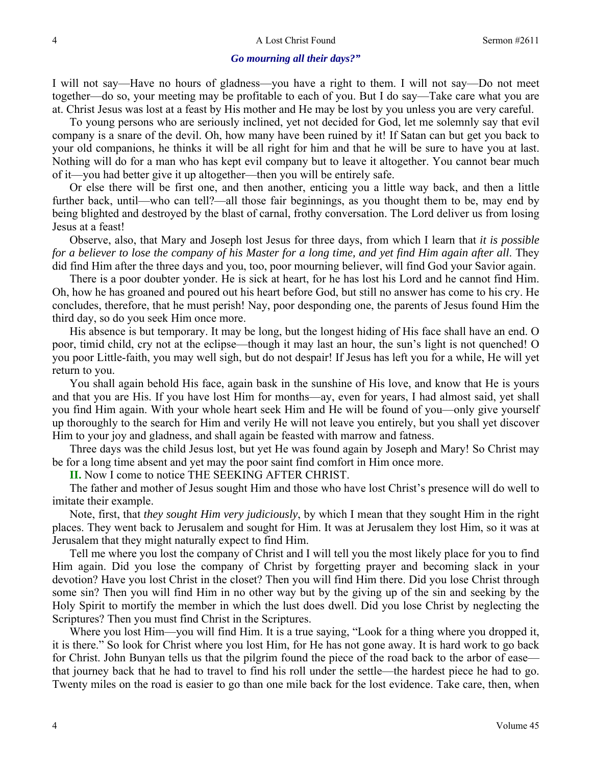#### *Go mourning all their days?"*

I will not say—Have no hours of gladness—you have a right to them. I will not say—Do not meet together—do so, your meeting may be profitable to each of you. But I do say—Take care what you are at. Christ Jesus was lost at a feast by His mother and He may be lost by you unless you are very careful.

 To young persons who are seriously inclined, yet not decided for God, let me solemnly say that evil company is a snare of the devil. Oh, how many have been ruined by it! If Satan can but get you back to your old companions, he thinks it will be all right for him and that he will be sure to have you at last. Nothing will do for a man who has kept evil company but to leave it altogether. You cannot bear much of it—you had better give it up altogether—then you will be entirely safe.

 Or else there will be first one, and then another, enticing you a little way back, and then a little further back, until—who can tell?—all those fair beginnings, as you thought them to be, may end by being blighted and destroyed by the blast of carnal, frothy conversation. The Lord deliver us from losing Jesus at a feast!

 Observe, also, that Mary and Joseph lost Jesus for three days, from which I learn that *it is possible for a believer to lose the company of his Master for a long time, and yet find Him again after all*. They did find Him after the three days and you, too, poor mourning believer, will find God your Savior again.

 There is a poor doubter yonder. He is sick at heart, for he has lost his Lord and he cannot find Him. Oh, how he has groaned and poured out his heart before God, but still no answer has come to his cry. He concludes, therefore, that he must perish! Nay, poor desponding one, the parents of Jesus found Him the third day, so do you seek Him once more.

 His absence is but temporary. It may be long, but the longest hiding of His face shall have an end. O poor, timid child, cry not at the eclipse—though it may last an hour, the sun's light is not quenched! O you poor Little-faith, you may well sigh, but do not despair! If Jesus has left you for a while, He will yet return to you.

 You shall again behold His face, again bask in the sunshine of His love, and know that He is yours and that you are His. If you have lost Him for months—ay, even for years, I had almost said, yet shall you find Him again. With your whole heart seek Him and He will be found of you—only give yourself up thoroughly to the search for Him and verily He will not leave you entirely, but you shall yet discover Him to your joy and gladness, and shall again be feasted with marrow and fatness.

 Three days was the child Jesus lost, but yet He was found again by Joseph and Mary! So Christ may be for a long time absent and yet may the poor saint find comfort in Him once more.

**II.** Now I come to notice THE SEEKING AFTER CHRIST.

 The father and mother of Jesus sought Him and those who have lost Christ's presence will do well to imitate their example.

 Note, first, that *they sought Him very judiciously*, by which I mean that they sought Him in the right places. They went back to Jerusalem and sought for Him. It was at Jerusalem they lost Him, so it was at Jerusalem that they might naturally expect to find Him.

 Tell me where you lost the company of Christ and I will tell you the most likely place for you to find Him again. Did you lose the company of Christ by forgetting prayer and becoming slack in your devotion? Have you lost Christ in the closet? Then you will find Him there. Did you lose Christ through some sin? Then you will find Him in no other way but by the giving up of the sin and seeking by the Holy Spirit to mortify the member in which the lust does dwell. Did you lose Christ by neglecting the Scriptures? Then you must find Christ in the Scriptures.

 Where you lost Him—you will find Him. It is a true saying, "Look for a thing where you dropped it, it is there." So look for Christ where you lost Him, for He has not gone away. It is hard work to go back for Christ. John Bunyan tells us that the pilgrim found the piece of the road back to the arbor of ease that journey back that he had to travel to find his roll under the settle—the hardest piece he had to go. Twenty miles on the road is easier to go than one mile back for the lost evidence. Take care, then, when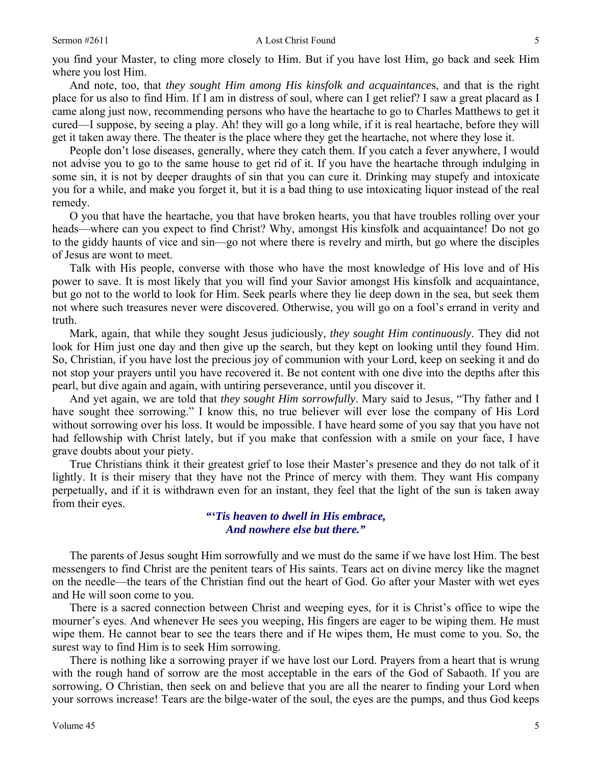#### Sermon #2611 **A** Lost Christ Found 5

you find your Master, to cling more closely to Him. But if you have lost Him, go back and seek Him where you lost Him.

 And note, too, that *they sought Him among His kinsfolk and acquaintance*s, and that is the right place for us also to find Him. If I am in distress of soul, where can I get relief? I saw a great placard as I came along just now, recommending persons who have the heartache to go to Charles Matthews to get it cured—I suppose, by seeing a play. Ah! they will go a long while, if it is real heartache, before they will get it taken away there. The theater is the place where they get the heartache, not where they lose it.

 People don't lose diseases, generally, where they catch them. If you catch a fever anywhere, I would not advise you to go to the same house to get rid of it. If you have the heartache through indulging in some sin, it is not by deeper draughts of sin that you can cure it. Drinking may stupefy and intoxicate you for a while, and make you forget it, but it is a bad thing to use intoxicating liquor instead of the real remedy.

 O you that have the heartache, you that have broken hearts, you that have troubles rolling over your heads—where can you expect to find Christ? Why, amongst His kinsfolk and acquaintance! Do not go to the giddy haunts of vice and sin—go not where there is revelry and mirth, but go where the disciples of Jesus are wont to meet.

 Talk with His people, converse with those who have the most knowledge of His love and of His power to save. It is most likely that you will find your Savior amongst His kinsfolk and acquaintance, but go not to the world to look for Him. Seek pearls where they lie deep down in the sea, but seek them not where such treasures never were discovered. Otherwise, you will go on a fool's errand in verity and truth.

 Mark, again, that while they sought Jesus judiciously, *they sought Him continuously*. They did not look for Him just one day and then give up the search, but they kept on looking until they found Him. So, Christian, if you have lost the precious joy of communion with your Lord, keep on seeking it and do not stop your prayers until you have recovered it. Be not content with one dive into the depths after this pearl, but dive again and again, with untiring perseverance, until you discover it.

 And yet again, we are told that *they sought Him sorrowfully*. Mary said to Jesus, "Thy father and I have sought thee sorrowing." I know this, no true believer will ever lose the company of His Lord without sorrowing over his loss. It would be impossible. I have heard some of you say that you have not had fellowship with Christ lately, but if you make that confession with a smile on your face, I have grave doubts about your piety.

 True Christians think it their greatest grief to lose their Master's presence and they do not talk of it lightly. It is their misery that they have not the Prince of mercy with them. They want His company perpetually, and if it is withdrawn even for an instant, they feel that the light of the sun is taken away from their eyes.

## *"'Tis heaven to dwell in His embrace, And nowhere else but there."*

 The parents of Jesus sought Him sorrowfully and we must do the same if we have lost Him. The best messengers to find Christ are the penitent tears of His saints. Tears act on divine mercy like the magnet on the needle—the tears of the Christian find out the heart of God. Go after your Master with wet eyes and He will soon come to you.

 There is a sacred connection between Christ and weeping eyes, for it is Christ's office to wipe the mourner's eyes. And whenever He sees you weeping, His fingers are eager to be wiping them. He must wipe them. He cannot bear to see the tears there and if He wipes them, He must come to you. So, the surest way to find Him is to seek Him sorrowing.

 There is nothing like a sorrowing prayer if we have lost our Lord. Prayers from a heart that is wrung with the rough hand of sorrow are the most acceptable in the ears of the God of Sabaoth. If you are sorrowing, O Christian, then seek on and believe that you are all the nearer to finding your Lord when your sorrows increase! Tears are the bilge-water of the soul, the eyes are the pumps, and thus God keeps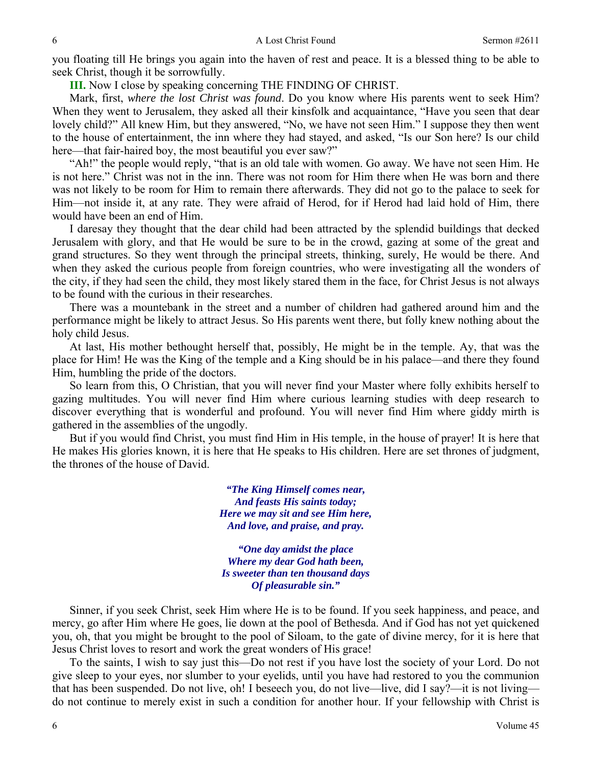you floating till He brings you again into the haven of rest and peace. It is a blessed thing to be able to seek Christ, though it be sorrowfully.

**III.** Now I close by speaking concerning THE FINDING OF CHRIST.

 Mark, first, *where the lost Christ was found*. Do you know where His parents went to seek Him? When they went to Jerusalem, they asked all their kinsfolk and acquaintance, "Have you seen that dear lovely child?" All knew Him, but they answered, "No, we have not seen Him." I suppose they then went to the house of entertainment, the inn where they had stayed, and asked, "Is our Son here? Is our child here—that fair-haired boy, the most beautiful you ever saw?"

 "Ah!" the people would reply, "that is an old tale with women. Go away. We have not seen Him. He is not here." Christ was not in the inn. There was not room for Him there when He was born and there was not likely to be room for Him to remain there afterwards. They did not go to the palace to seek for Him—not inside it, at any rate. They were afraid of Herod, for if Herod had laid hold of Him, there would have been an end of Him.

 I daresay they thought that the dear child had been attracted by the splendid buildings that decked Jerusalem with glory, and that He would be sure to be in the crowd, gazing at some of the great and grand structures. So they went through the principal streets, thinking, surely, He would be there. And when they asked the curious people from foreign countries, who were investigating all the wonders of the city, if they had seen the child, they most likely stared them in the face, for Christ Jesus is not always to be found with the curious in their researches.

 There was a mountebank in the street and a number of children had gathered around him and the performance might be likely to attract Jesus. So His parents went there, but folly knew nothing about the holy child Jesus.

 At last, His mother bethought herself that, possibly, He might be in the temple. Ay, that was the place for Him! He was the King of the temple and a King should be in his palace—and there they found Him, humbling the pride of the doctors.

 So learn from this, O Christian, that you will never find your Master where folly exhibits herself to gazing multitudes. You will never find Him where curious learning studies with deep research to discover everything that is wonderful and profound. You will never find Him where giddy mirth is gathered in the assemblies of the ungodly.

 But if you would find Christ, you must find Him in His temple, in the house of prayer! It is here that He makes His glories known, it is here that He speaks to His children. Here are set thrones of judgment, the thrones of the house of David.

> *"The King Himself comes near, And feasts His saints today; Here we may sit and see Him here, And love, and praise, and pray.*

> *"One day amidst the place Where my dear God hath been, Is sweeter than ten thousand days Of pleasurable sin."*

 Sinner, if you seek Christ, seek Him where He is to be found. If you seek happiness, and peace, and mercy, go after Him where He goes, lie down at the pool of Bethesda. And if God has not yet quickened you, oh, that you might be brought to the pool of Siloam, to the gate of divine mercy, for it is here that Jesus Christ loves to resort and work the great wonders of His grace!

 To the saints, I wish to say just this—Do not rest if you have lost the society of your Lord. Do not give sleep to your eyes, nor slumber to your eyelids, until you have had restored to you the communion that has been suspended. Do not live, oh! I beseech you, do not live—live, did I say?—it is not living do not continue to merely exist in such a condition for another hour. If your fellowship with Christ is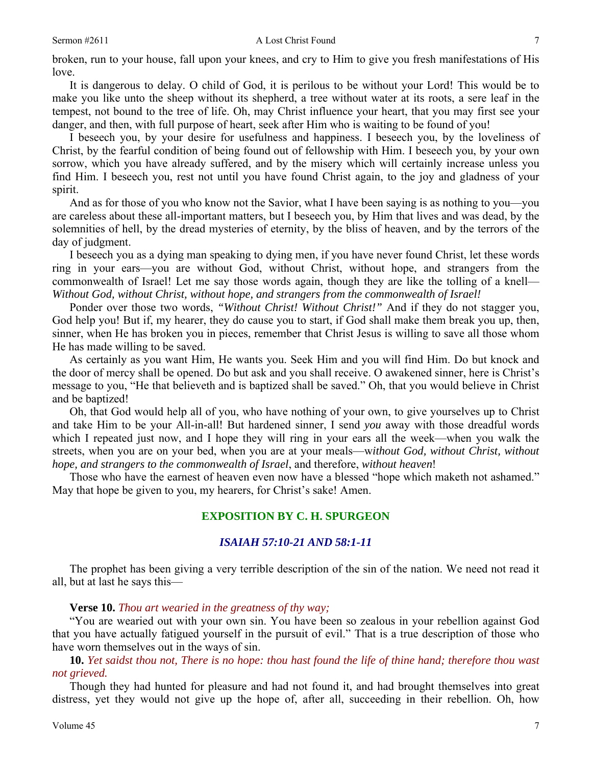broken, run to your house, fall upon your knees, and cry to Him to give you fresh manifestations of His love.

 It is dangerous to delay. O child of God, it is perilous to be without your Lord! This would be to make you like unto the sheep without its shepherd, a tree without water at its roots, a sere leaf in the tempest, not bound to the tree of life. Oh, may Christ influence your heart, that you may first see your danger, and then, with full purpose of heart, seek after Him who is waiting to be found of you!

 I beseech you, by your desire for usefulness and happiness. I beseech you, by the loveliness of Christ, by the fearful condition of being found out of fellowship with Him. I beseech you, by your own sorrow, which you have already suffered, and by the misery which will certainly increase unless you find Him. I beseech you, rest not until you have found Christ again, to the joy and gladness of your spirit.

 And as for those of you who know not the Savior, what I have been saying is as nothing to you—you are careless about these all-important matters, but I beseech you, by Him that lives and was dead, by the solemnities of hell, by the dread mysteries of eternity, by the bliss of heaven, and by the terrors of the day of judgment.

 I beseech you as a dying man speaking to dying men, if you have never found Christ, let these words ring in your ears—you are without God, without Christ, without hope, and strangers from the commonwealth of Israel! Let me say those words again, though they are like the tolling of a knell— *Without God, without Christ, without hope, and strangers from the commonwealth of Israel!*

 Ponder over those two words, *"Without Christ! Without Christ!"* And if they do not stagger you, God help you! But if, my hearer, they do cause you to start, if God shall make them break you up, then, sinner, when He has broken you in pieces, remember that Christ Jesus is willing to save all those whom He has made willing to be saved.

 As certainly as you want Him, He wants you. Seek Him and you will find Him. Do but knock and the door of mercy shall be opened. Do but ask and you shall receive. O awakened sinner, here is Christ's message to you, "He that believeth and is baptized shall be saved." Oh, that you would believe in Christ and be baptized!

 Oh, that God would help all of you, who have nothing of your own, to give yourselves up to Christ and take Him to be your All-in-all! But hardened sinner, I send *you* away with those dreadful words which I repeated just now, and I hope they will ring in your ears all the week—when you walk the streets, when you are on your bed, when you are at your meals—w*ithout God, without Christ, without hope, and strangers to the commonwealth of Israel*, and therefore, *without heaven*!

 Those who have the earnest of heaven even now have a blessed "hope which maketh not ashamed." May that hope be given to you, my hearers, for Christ's sake! Amen.

## **EXPOSITION BY C. H. SPURGEON**

## *ISAIAH 57:10-21 AND 58:1-11*

The prophet has been giving a very terrible description of the sin of the nation. We need not read it all, but at last he says this—

### **Verse 10.** *Thou art wearied in the greatness of thy way;*

"You are wearied out with your own sin. You have been so zealous in your rebellion against God that you have actually fatigued yourself in the pursuit of evil." That is a true description of those who have worn themselves out in the ways of sin.

 **10.** *Yet saidst thou not, There is no hope: thou hast found the life of thine hand; therefore thou wast not grieved.* 

Though they had hunted for pleasure and had not found it, and had brought themselves into great distress, yet they would not give up the hope of, after all, succeeding in their rebellion. Oh, how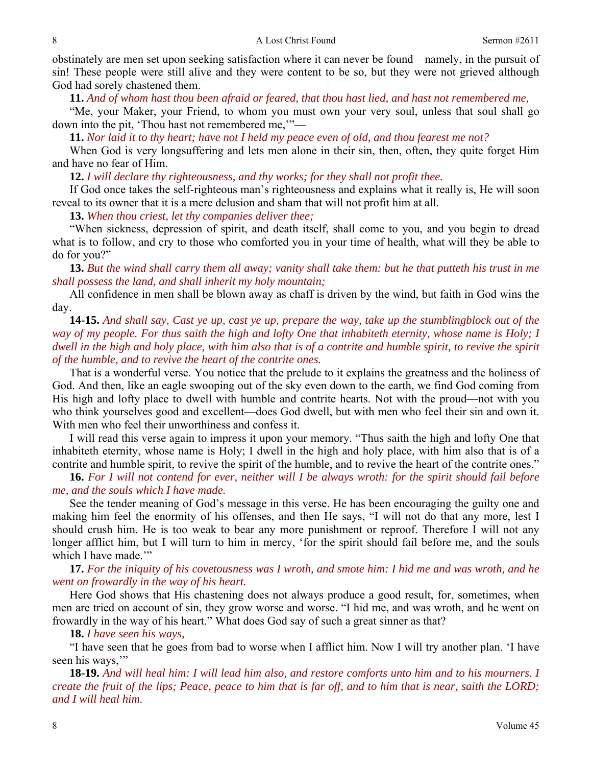obstinately are men set upon seeking satisfaction where it can never be found—namely, in the pursuit of sin! These people were still alive and they were content to be so, but they were not grieved although God had sorely chastened them.

 **11.** *And of whom hast thou been afraid or feared, that thou hast lied, and hast not remembered me,* 

"Me, your Maker, your Friend, to whom you must own your very soul, unless that soul shall go down into the pit, 'Thou hast not remembered me,'"—

 **11.** *Nor laid it to thy heart; have not I held my peace even of old, and thou fearest me not?* 

When God is very longsuffering and lets men alone in their sin, then, often, they quite forget Him and have no fear of Him.

 **12.** *I will declare thy righteousness, and thy works; for they shall not profit thee.* 

If God once takes the self-righteous man's righteousness and explains what it really is, He will soon reveal to its owner that it is a mere delusion and sham that will not profit him at all.

 **13.** *When thou criest, let thy companies deliver thee;* 

"When sickness, depression of spirit, and death itself, shall come to you, and you begin to dread what is to follow, and cry to those who comforted you in your time of health, what will they be able to do for you?"

 **13.** *But the wind shall carry them all away; vanity shall take them: but he that putteth his trust in me shall possess the land, and shall inherit my holy mountain;* 

All confidence in men shall be blown away as chaff is driven by the wind, but faith in God wins the day.

 **14-15.** *And shall say, Cast ye up, cast ye up, prepare the way, take up the stumblingblock out of the way of my people. For thus saith the high and lofty One that inhabiteth eternity, whose name is Holy; I dwell in the high and holy place, with him also that is of a contrite and humble spirit, to revive the spirit of the humble, and to revive the heart of the contrite ones.* 

That is a wonderful verse. You notice that the prelude to it explains the greatness and the holiness of God. And then, like an eagle swooping out of the sky even down to the earth, we find God coming from His high and lofty place to dwell with humble and contrite hearts. Not with the proud—not with you who think yourselves good and excellent—does God dwell, but with men who feel their sin and own it. With men who feel their unworthiness and confess it.

 I will read this verse again to impress it upon your memory. "Thus saith the high and lofty One that inhabiteth eternity, whose name is Holy; I dwell in the high and holy place, with him also that is of a contrite and humble spirit, to revive the spirit of the humble, and to revive the heart of the contrite ones."

 **16.** *For I will not contend for ever, neither will I be always wroth: for the spirit should fail before me, and the souls which I have made.* 

See the tender meaning of God's message in this verse. He has been encouraging the guilty one and making him feel the enormity of his offenses, and then He says, "I will not do that any more, lest I should crush him. He is too weak to bear any more punishment or reproof. Therefore I will not any longer afflict him, but I will turn to him in mercy, 'for the spirit should fail before me, and the souls which I have made.""

 **17.** *For the iniquity of his covetousness was I wroth, and smote him: I hid me and was wroth, and he went on frowardly in the way of his heart.* 

Here God shows that His chastening does not always produce a good result, for, sometimes, when men are tried on account of sin, they grow worse and worse. "I hid me, and was wroth, and he went on frowardly in the way of his heart." What does God say of such a great sinner as that?

 **18.** *I have seen his ways,* 

"I have seen that he goes from bad to worse when I afflict him. Now I will try another plan. 'I have seen his ways,"

 **18-19.** *And will heal him: I will lead him also, and restore comforts unto him and to his mourners. I create the fruit of the lips; Peace, peace to him that is far off, and to him that is near, saith the LORD; and I will heal him.*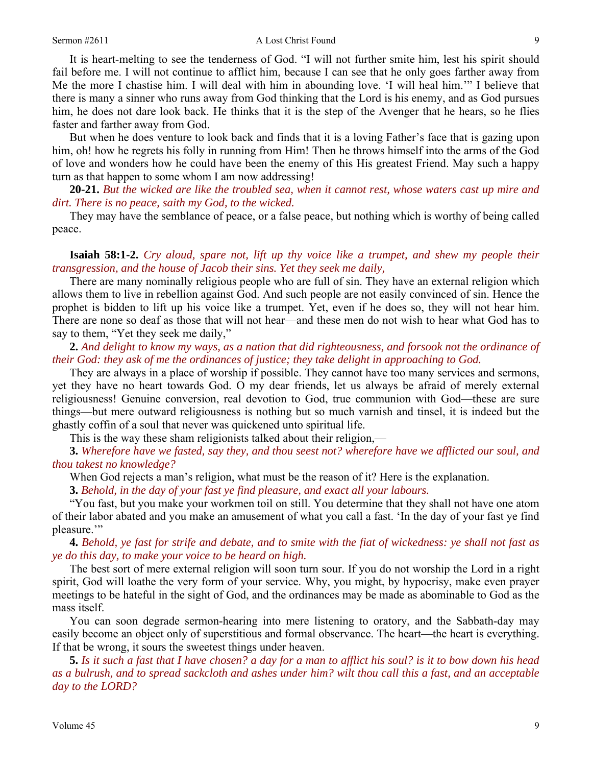#### Sermon #2611 **A** Lost Christ Found 9

It is heart-melting to see the tenderness of God. "I will not further smite him, lest his spirit should fail before me. I will not continue to afflict him, because I can see that he only goes farther away from Me the more I chastise him. I will deal with him in abounding love. 'I will heal him.'" I believe that there is many a sinner who runs away from God thinking that the Lord is his enemy, and as God pursues him, he does not dare look back. He thinks that it is the step of the Avenger that he hears, so he flies faster and farther away from God.

 But when he does venture to look back and finds that it is a loving Father's face that is gazing upon him, oh! how he regrets his folly in running from Him! Then he throws himself into the arms of the God of love and wonders how he could have been the enemy of this His greatest Friend. May such a happy turn as that happen to some whom I am now addressing!

 **20-21.** *But the wicked are like the troubled sea, when it cannot rest, whose waters cast up mire and dirt. There is no peace, saith my God, to the wicked.* 

They may have the semblance of peace, or a false peace, but nothing which is worthy of being called peace.

 **Isaiah 58:1-2.** *Cry aloud, spare not, lift up thy voice like a trumpet, and shew my people their transgression, and the house of Jacob their sins. Yet they seek me daily,* 

There are many nominally religious people who are full of sin. They have an external religion which allows them to live in rebellion against God. And such people are not easily convinced of sin. Hence the prophet is bidden to lift up his voice like a trumpet. Yet, even if he does so, they will not hear him. There are none so deaf as those that will not hear—and these men do not wish to hear what God has to say to them, "Yet they seek me daily,"

 **2.** *And delight to know my ways, as a nation that did righteousness, and forsook not the ordinance of their God: they ask of me the ordinances of justice; they take delight in approaching to God.* 

They are always in a place of worship if possible. They cannot have too many services and sermons, yet they have no heart towards God. O my dear friends, let us always be afraid of merely external religiousness! Genuine conversion, real devotion to God, true communion with God—these are sure things—but mere outward religiousness is nothing but so much varnish and tinsel, it is indeed but the ghastly coffin of a soul that never was quickened unto spiritual life.

This is the way these sham religionists talked about their religion,—

 **3.** *Wherefore have we fasted, say they, and thou seest not? wherefore have we afflicted our soul, and thou takest no knowledge?* 

When God rejects a man's religion, what must be the reason of it? Here is the explanation.

**3.** *Behold, in the day of your fast ye find pleasure, and exact all your labours.* 

"You fast, but you make your workmen toil on still. You determine that they shall not have one atom of their labor abated and you make an amusement of what you call a fast. 'In the day of your fast ye find pleasure.'"

 **4.** *Behold, ye fast for strife and debate, and to smite with the fiat of wickedness: ye shall not fast as ye do this day, to make your voice to be heard on high.* 

The best sort of mere external religion will soon turn sour. If you do not worship the Lord in a right spirit, God will loathe the very form of your service. Why, you might, by hypocrisy, make even prayer meetings to be hateful in the sight of God, and the ordinances may be made as abominable to God as the mass itself.

 You can soon degrade sermon-hearing into mere listening to oratory, and the Sabbath-day may easily become an object only of superstitious and formal observance. The heart—the heart is everything. If that be wrong, it sours the sweetest things under heaven.

 **5.** *Is it such a fast that I have chosen? a day for a man to afflict his soul? is it to bow down his head as a bulrush, and to spread sackcloth and ashes under him? wilt thou call this a fast, and an acceptable day to the LORD?*